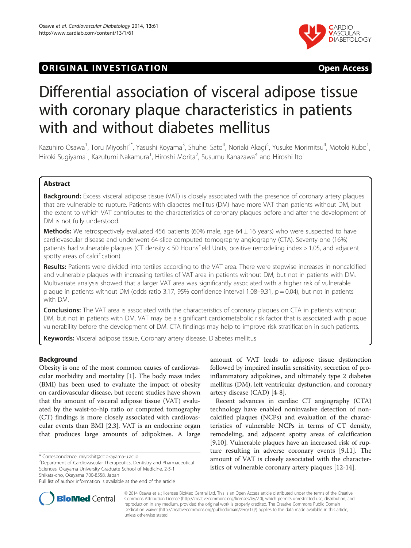## **ORIGINAL INVESTIGATION CONSIDERING OPEN ACCESS**



# Differential association of visceral adipose tissue with coronary plaque characteristics in patients with and without diabetes mellitus

Kazuhiro Osawa<sup>1</sup>, Toru Miyoshi<sup>2\*</sup>, Yasushi Koyama<sup>3</sup>, Shuhei Sato<sup>4</sup>, Noriaki Akagi<sup>4</sup>, Yusuke Morimitsu<sup>4</sup>, Motoki Kubo<sup>1</sup> , Hiroki Sugiyama<sup>1</sup>, Kazufumi Nakamura<sup>1</sup>, Hiroshi Morita<sup>2</sup>, Susumu Kanazawa<sup>4</sup> and Hiroshi Ito<sup>1</sup>

## Abstract

Background: Excess visceral adipose tissue (VAT) is closely associated with the presence of coronary artery plaques that are vulnerable to rupture. Patients with diabetes mellitus (DM) have more VAT than patients without DM, but the extent to which VAT contributes to the characteristics of coronary plaques before and after the development of DM is not fully understood.

**Methods:** We retrospectively evaluated 456 patients (60% male, age  $64 \pm 16$  years) who were suspected to have cardiovascular disease and underwent 64-slice computed tomography angiography (CTA). Seventy-one (16%) patients had vulnerable plaques (CT density < 50 Hounsfield Units, positive remodeling index > 1.05, and adjacent spotty areas of calcification).

Results: Patients were divided into tertiles according to the VAT area. There were stepwise increases in noncalcified and vulnerable plaques with increasing tertiles of VAT area in patients without DM, but not in patients with DM. Multivariate analysis showed that a larger VAT area was significantly associated with a higher risk of vulnerable plaque in patients without DM (odds ratio 3.17, 95% confidence interval 1.08–9.31, p = 0.04), but not in patients with DM.

**Conclusions:** The VAT area is associated with the characteristics of coronary plaques on CTA in patients without DM, but not in patients with DM. VAT may be a significant cardiometabolic risk factor that is associated with plaque vulnerability before the development of DM. CTA findings may help to improve risk stratification in such patients.

Keywords: Visceral adipose tissue, Coronary artery disease, Diabetes mellitus

## Background

Obesity is one of the most common causes of cardiovascular morbidity and mortality [\[1\]](#page-8-0). The body mass index (BMI) has been used to evaluate the impact of obesity on cardiovascular disease, but recent studies have shown that the amount of visceral adipose tissue (VAT) evaluated by the waist-to-hip ratio or computed tomography (CT) findings is more closely associated with cardiovascular events than BMI [[2,](#page-8-0)[3\]](#page-9-0). VAT is an endocrine organ that produces large amounts of adipokines. A large

\* Correspondence: [miyoshit@cc.okayama-u.ac.jp](mailto:miyoshit@cc.okayama-u.ac.jp) <sup>2</sup>

Department of Cardiovascular Therapeutics, Dentistry and Pharmaceutical Sciences, Okayama University Graduate School of Medicine, 2-5-1 Shikata-cho, Okayama 700-8558, Japan

amount of VAT leads to adipose tissue dysfunction followed by impaired insulin sensitivity, secretion of proinflammatory adipokines, and ultimately type 2 diabetes mellitus (DM), left ventricular dysfunction, and coronary artery disease (CAD) [\[4](#page-9-0)-[8\]](#page-9-0).

Recent advances in cardiac CT angiography (CTA) technology have enabled noninvasive detection of noncalcified plaques (NCPs) and evaluation of the characteristics of vulnerable NCPs in terms of CT density, remodeling, and adjacent spotty areas of calcification [[9,10\]](#page-9-0). Vulnerable plaques have an increased risk of rupture resulting in adverse coronary events [[9](#page-9-0),[11](#page-9-0)]. The amount of VAT is closely associated with the characteristics of vulnerable coronary artery plaques [\[12](#page-9-0)-[14\]](#page-9-0).



© 2014 Osawa et al.; licensee BioMed Central Ltd. This is an Open Access article distributed under the terms of the Creative Commons Attribution License [\(http://creativecommons.org/licenses/by/2.0\)](http://creativecommons.org/licenses/by/2.0), which permits unrestricted use, distribution, and reproduction in any medium, provided the original work is properly credited. The Creative Commons Public Domain Dedication waiver [\(http://creativecommons.org/publicdomain/zero/1.0/](http://creativecommons.org/publicdomain/zero/1.0/)) applies to the data made available in this article, unless otherwise stated.

Full list of author information is available at the end of the article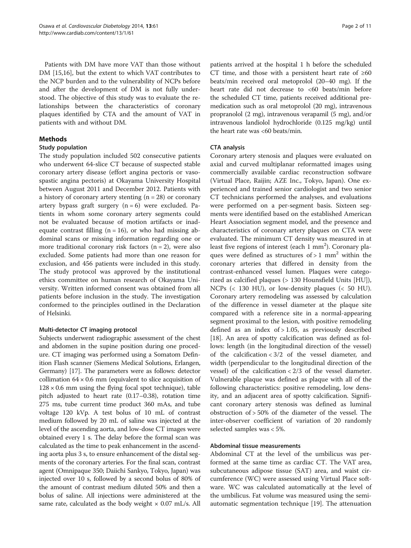<span id="page-1-0"></span>Patients with DM have more VAT than those without DM [[15](#page-9-0),[16](#page-9-0)], but the extent to which VAT contributes to the NCP burden and to the vulnerability of NCPs before and after the development of DM is not fully understood. The objective of this study was to evaluate the relationships between the characteristics of coronary plaques identified by CTA and the amount of VAT in patients with and without DM.

## Methods

#### Study population

The study population included 502 consecutive patients who underwent 64-slice CT because of suspected stable coronary artery disease (effort angina pectoris or vasospastic angina pectoris) at Okayama University Hospital between August 2011 and December 2012. Patients with a history of coronary artery stenting  $(n = 28)$  or coronary artery bypass graft surgery  $(n = 6)$  were excluded. Patients in whom some coronary artery segments could not be evaluated because of motion artifacts or inadequate contrast filling  $(n = 16)$ , or who had missing abdominal scans or missing information regarding one or more traditional coronary risk factors  $(n = 2)$ , were also excluded. Some patients had more than one reason for exclusion, and 456 patients were included in this study. The study protocol was approved by the institutional ethics committee on human research of Okayama University. Written informed consent was obtained from all patients before inclusion in the study. The investigation conformed to the principles outlined in the Declaration of Helsinki.

## Multi-detector CT imaging protocol

Subjects underwent radiographic assessment of the chest and abdomen in the supine position during one procedure. CT imaging was performed using a Somatom Definition Flash scanner (Siemens Medical Solutions, Erlangen, Germany) [[17](#page-9-0)]. The parameters were as follows: detector collimation  $64 \times 0.6$  mm (equivalent to slice acquisition of  $128 \times 0.6$  mm using the flying focal spot technique), table pitch adjusted to heart rate (0.17–0.38), rotation time 275 ms, tube current time product 360 mAs, and tube voltage 120 kVp. A test bolus of 10 mL of contrast medium followed by 20 mL of saline was injected at the level of the ascending aorta, and low-dose CT images were obtained every 1 s. The delay before the formal scan was calculated as the time to peak enhancement in the ascending aorta plus 3 s, to ensure enhancement of the distal segments of the coronary arteries. For the final scan, contrast agent (Omnipaque 350; Daiichi Sankyo, Tokyo, Japan) was injected over 10 s, followed by a second bolus of 80% of the amount of contrast medium diluted 50% and then a bolus of saline. All injections were administered at the same rate, calculated as the body weight  $\times$  0.07 mL/s. All

patients arrived at the hospital 1 h before the scheduled CT time, and those with a persistent heart rate of  $\geq 60$ beats/min received oral metoprolol (20–40 mg). If the heart rate did not decrease to <60 beats/min before the scheduled CT time, patients received additional premedication such as oral metoprolol (20 mg), intravenous propranolol (2 mg), intravenous verapamil (5 mg), and/or intravenous landiolol hydrochloride (0.125 mg/kg) until the heart rate was <60 beats/min.

## CTA analysis

Coronary artery stenosis and plaques were evaluated on axial and curved multiplanar reformatted images using commercially available cardiac reconstruction software (Virtual Place, Raijin; AZE Inc., Tokyo, Japan). One experienced and trained senior cardiologist and two senior CT technicians performed the analyses, and evaluations were performed on a per-segment basis. Sixteen segments were identified based on the established American Heart Association segment model, and the presence and characteristics of coronary artery plaques on CTA were evaluated. The minimum CT density was measured in at least five regions of interest (each  $1 \text{ mm}^2$ ). Coronary plaques were defined as structures of  $> 1$  mm<sup>2</sup> within the coronary arteries that differed in density from the contrast-enhanced vessel lumen. Plaques were categorized as calcified plaques (> 130 Hounsfield Units [HU]), NCPs (< 130 HU), or low-density plaques (< 50 HU). Coronary artery remodeling was assessed by calculation of the difference in vessel diameter at the plaque site compared with a reference site in a normal-appearing segment proximal to the lesion, with positive remodeling defined as an index of  $> 1.05$ , as previously described [[18\]](#page-9-0). An area of spotty calcification was defined as follows: length (in the longitudinal direction of the vessel) of the calcification < 3/2 of the vessel diameter, and width (perpendicular to the longitudinal direction of the vessel) of the calcification < 2/3 of the vessel diameter. Vulnerable plaque was defined as plaque with all of the following characteristics: positive remodeling, low density, and an adjacent area of spotty calcification. Significant coronary artery stenosis was defined as luminal obstruction of > 50% of the diameter of the vessel. The inter-observer coefficient of variation of 20 randomly selected samples was < 5%.

## Abdominal tissue measurements

Abdominal CT at the level of the umbilicus was performed at the same time as cardiac CT. The VAT area, subcutaneous adipose tissue (SAT) area, and waist circumference (WC) were assessed using Virtual Place software. WC was calculated automatically at the level of the umbilicus. Fat volume was measured using the semiautomatic segmentation technique [[19\]](#page-9-0). The attenuation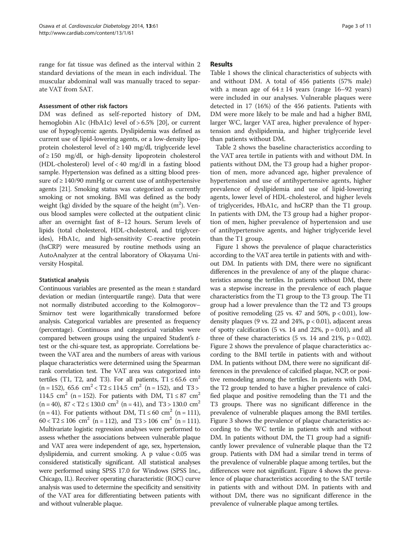range for fat tissue was defined as the interval within 2 standard deviations of the mean in each individual. The muscular abdominal wall was manually traced to separate VAT from SAT.

#### Assessment of other risk factors

DM was defined as self-reported history of DM, hemoglobin A1c (HbA1c) level of > 6.5% [\[20\]](#page-9-0), or current use of hypoglycemic agents. Dyslipidemia was defined as current use of lipid-lowering agents, or a low-density lipoprotein cholesterol level of  $\geq$  140 mg/dl, triglyceride level of ≥ 150 mg/dl, or high-density lipoprotein cholesterol (HDL-cholesterol) level of < 40 mg/dl in a fasting blood sample. Hypertension was defined as a sitting blood pressure of  $\geq$  140/90 mmHg or current use of antihypertensive agents [\[21\]](#page-9-0). Smoking status was categorized as currently smoking or not smoking. BMI was defined as the body weight (kg) divided by the square of the height  $(m^2)$ . Venous blood samples were collected at the outpatient clinic after an overnight fast of 8–12 hours. Serum levels of lipids (total cholesterol, HDL-cholesterol, and triglycerides), HbA1c, and high-sensitivity C-reactive protein (hsCRP) were measured by routine methods using an AutoAnalyzer at the central laboratory of Okayama University Hospital.

## Statistical analysis

Continuous variables are presented as the mean ± standard deviation or median (interquartile range). Data that were not normally distributed according to the Kolmogorov– Smirnov test were logarithmically transformed before analysis. Categorical variables are presented as frequency (percentage). Continuous and categorical variables were compared between groups using the unpaired Student's ttest or the chi-square test, as appropriate. Correlations between the VAT area and the numbers of areas with various plaque characteristics were determined using the Spearman rank correlation test. The VAT area was categorized into tertiles (T1, T2, and T3). For all patients,  $T1 \le 65.6$  cm<sup>2</sup>  $(n = 152)$ , 65.6 cm<sup>2</sup> < T2 ≤ 114.5 cm<sup>2</sup> (n = 152), and T3 > 114.5 cm<sup>2</sup> (n = 152). For patients with DM,  $T1 \le 87$  cm<sup>2</sup>  $(n = 40)$ , 87 < T2 ≤ 130.0 cm<sup>2</sup> (n = 41), and T3 > 130.0 cm<sup>2</sup> (n = 41). For patients without DM,  $T1 \le 60$  cm<sup>2</sup> (n = 111),  $60 < T2 \le 106$  cm<sup>2</sup> (n = 112), and T3 > 106 cm<sup>2</sup> (n = 111). Multivariate logistic regression analyses were performed to assess whether the associations between vulnerable plaque and VAT area were independent of age, sex, hypertension, dyslipidemia, and current smoking. A p value < 0.05 was considered statistically significant. All statistical analyses were performed using SPSS 17.0 for Windows (SPSS Inc., Chicago, IL). Receiver operating characteristic (ROC) curve analysis was used to determine the specificity and sensitivity of the VAT area for differentiating between patients with and without vulnerable plaque.

#### Results

Table [1](#page-3-0) shows the clinical characteristics of subjects with and without DM. A total of 456 patients (57% male) with a mean age of  $64 \pm 14$  years (range 16–92 years) were included in our analyses. Vulnerable plaques were detected in 17 (16%) of the 456 patients. Patients with DM were more likely to be male and had a higher BMI, larger WC, larger VAT area, higher prevalence of hypertension and dyslipidemia, and higher triglyceride level than patients without DM.

Table [2](#page-3-0) shows the baseline characteristics according to the VAT area tertile in patients with and without DM. In patients without DM, the T3 group had a higher proportion of men, more advanced age, higher prevalence of hypertension and use of antihypertensive agents, higher prevalence of dyslipidemia and use of lipid-lowering agents, lower level of HDL-cholesterol, and higher levels of triglycerides, HbA1c, and hsCRP than the T1 group. In patients with DM, the T3 group had a higher proportion of men, higher prevalence of hypertension and use of antihypertensive agents, and higher triglyceride level than the T1 group.

Figure [1](#page-4-0) shows the prevalence of plaque characteristics according to the VAT area tertile in patients with and without DM. In patients with DM, there were no significant differences in the prevalence of any of the plaque characteristics among the tertiles. In patients without DM, there was a stepwise increase in the prevalence of each plaque characteristics from the T1 group to the T3 group. The T1 group had a lower prevalence than the T2 and T3 groups of positive remodeling  $(25 \text{ vs. } 47 \text{ and } 50\%, \text{ p} < 0.01)$ , lowdensity plaques (9 vs. 22 and 24%,  $p < 0.01$ ), adjacent areas of spotty calcification (5 vs. 14 and 22%,  $p = 0.01$ ), and all three of these characteristics  $(5 \text{ vs. } 14 \text{ and } 21\%, \text{ p} = 0.02)$ . Figure [2](#page-4-0) shows the prevalence of plaque characteristics according to the BMI tertile in patients with and without DM. In patients without DM, there were no significant differences in the prevalence of calcified plaque, NCP, or positive remodeling among the tertiles. In patients with DM, the T2 group tended to have a higher prevalence of calcified plaque and positive remodeling than the T1 and the T3 groups. There was no significant difference in the prevalence of vulnerable plaques among the BMI tertiles. Figure [3](#page-5-0) shows the prevalence of plaque characteristics according to the WC tertile in patients with and without DM. In patients without DM, the T1 group had a significantly lower prevalence of vulnerable plaque than the T2 group. Patients with DM had a similar trend in terms of the prevalence of vulnerable plaque among tertiles, but the differences were not significant. Figure [4](#page-5-0) shows the prevalence of plaque characteristics according to the SAT tertile in patients with and without DM. In patients with and without DM, there was no significant difference in the prevalence of vulnerable plaque among tertiles.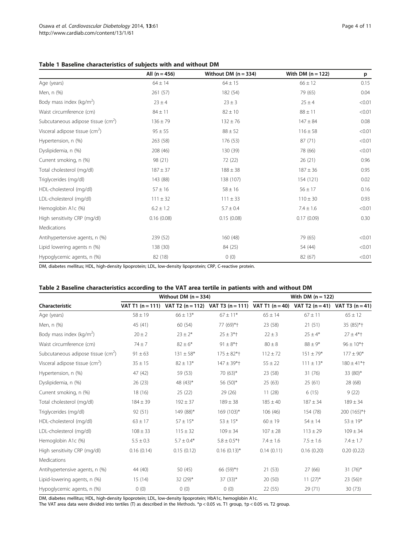<span id="page-3-0"></span>

|                                                | All $(n = 456)$ | Without DM $(n = 334)$ | With DM $(n = 122)$ | p      |
|------------------------------------------------|-----------------|------------------------|---------------------|--------|
| Age (years)                                    | $64 \pm 14$     | $64 \pm 15$            | $66 \pm 12$         | 0.15   |
| Men, n (%)                                     | 261 (57)        | 182 (54)               | 79 (65)             | 0.04   |
| Body mass index ( $kg/m2$ )                    | $23 \pm 4$      | $23 \pm 3$             | $25 \pm 4$          | < 0.01 |
| Waist circumference (cm)                       | $84 \pm 11$     | $82 \pm 10$            | $88 \pm 11$         | < 0.01 |
| Subcutaneous adipose tissue ( $cm2$ )          | $136 \pm 79$    | $132 \pm 76$           | $147 \pm 84$        | 0.08   |
| Visceral adipose tissue $\text{(cm}^2\text{)}$ | $95 \pm 55$     | $88 \pm 52$            | $116 \pm 58$        | < 0.01 |
| Hypertension, n (%)                            | 263 (58)        | 176 (53)               | 87(71)              | < 0.01 |
| Dyslipidemia, n (%)                            | 208 (46)        | 130 (39)               | 78 (66)             | < 0.01 |
| Current smoking, n (%)                         | 98 (21)         | 72 (22)                | 26(21)              | 0.96   |
| Total cholesterol (mg/dl)                      | $187 + 37$      | $188 \pm 38$           | $187 \pm 36$        | 0.95   |
| Triglycerides (mg/dl)                          | 143 (88)        | 138 (107)              | 154 (121)           | 0.02   |
| HDL-cholesterol (mg/dl)                        | $57 \pm 16$     | $58 \pm 16$            | $56 \pm 17$         | 0.16   |
| LDL-cholesterol (mg/dl)                        | $111 \pm 32$    | $111 \pm 33$           | $110 \pm 30$        | 0.93   |
| Hemoglobin A1c (%)                             | $6.2 \pm 1.2$   | $5.7 \pm 0.4$          | $7.4 \pm 1.6$       | < 0.01 |
| High sensitivity CRP (mg/dl)                   | 0.16(0.08)      | 0.15(0.08)             | 0.17(0.09)          | 0.30   |
| Medications                                    |                 |                        |                     |        |
| Antihypertensive agents, n (%)                 | 239 (52)        | 160 (48)               | 79 (65)             | < 0.01 |
| Lipid lowering agents n (%)                    | 138 (30)        | 84 (25)                | 54 (44)             | < 0.01 |
| Hypoglycemic agents, n (%)                     | 82 (18)         | 0(0)                   | 82 (67)             | < 0.01 |

DM, diabetes mellitus; HDL, high-density lipoprotein; LDL, low-density lipoprotein; CRP, C-reactive protein.

## Table 2 Baseline characteristics according to the VAT area tertile in patients with and without DM

|                                            | Without DM $(n = 334)$ |                |                                                                                                                | With DM $(n = 122)$ |               |                      |  |
|--------------------------------------------|------------------------|----------------|----------------------------------------------------------------------------------------------------------------|---------------------|---------------|----------------------|--|
| Characteristic                             |                        |                | VAT T1 $(n = 111)$ VAT T2 $(n = 112)$ VAT T3 $(n = 111)$ VAT T1 $(n = 40)$ VAT T2 $(n = 41)$ VAT T3 $(n = 41)$ |                     |               |                      |  |
| Age (years)                                | $58 \pm 19$            | $66 \pm 13*$   | $67 \pm 11*$                                                                                                   | $65 \pm 14$         | $67 \pm 11$   | $65 \pm 12$          |  |
| Men, n (%)                                 | 45 (41)                | 60 (54)        | 77 (69)*+                                                                                                      | 23 (58)             | 21(51)        | 35 (85)*+            |  |
| Body mass index ( $kg/m2$ )                | $20 \pm 2$             | $23 \pm 2*$    | $25 \pm 3*$                                                                                                    | $22 \pm 3$          | $25 \pm 4*$   | $27 \pm 4*$ †        |  |
| Waist circumference (cm)                   | $74 \pm 7$             | $82 \pm 6*$    | $91 \pm 8$ *†                                                                                                  | $80 \pm 8$          | $88 \pm 9*$   | $96 \pm 10*$         |  |
| Subcutaneous adipose tissue ( $cm2$ )      | $91 \pm 63$            | $131 \pm 58*$  | $175 \pm 82$ *†                                                                                                | $112 \pm 72$        | $151 \pm 79*$ | $177 \pm 90*$        |  |
| Visceral adipose tissue (cm <sup>2</sup> ) | $35 \pm 15$            | $82 \pm 13*$   | $147 \pm 39$ <sup>*</sup>                                                                                      | $55 \pm 22$         | $111 \pm 13*$ | $180 \pm 41$ *†      |  |
| Hypertension, n (%)                        | 47 (42)                | 59 (53)        | 70 $(63)^*$                                                                                                    | 23 (58)             | 31 (76)       | 33 (80)*             |  |
| Dyslipidemia, n (%)                        | 26(23)                 | 48 (43)*       | 56 (50)*                                                                                                       | 25(63)              | 25(61)        | 28 (68)              |  |
| Current smoking, n (%)                     | 18 (16)                | 25(22)         | 29(26)                                                                                                         | 11(28)              | 6(15)         | 9(22)                |  |
| Total cholesterol (mg/dl)                  | $184 \pm 39$           | $192 \pm 37$   | $189 \pm 38$                                                                                                   | $185 \pm 40$        | $187 \pm 34$  | $189 \pm 34$         |  |
| Triglycerides (mg/dl)                      | 92 (51)                | 149 (88)*      | 169 (103)*                                                                                                     | 106 (46)            | 154 (78)      | 200 (165)*+          |  |
| HDL-cholesterol (mg/dl)                    | $63 \pm 17$            | $57 \pm 15*$   | $53 \pm 15*$                                                                                                   | $60 \pm 19$         | $54 \pm 14$   | $53 \pm 19*$         |  |
| LDL-cholesterol (mg/dl)                    | $108 \pm 33$           | $115 \pm 32$   | $109 \pm 34$                                                                                                   | $107 \pm 28$        | $113 \pm 29$  | $109 \pm 34$         |  |
| Hemoglobin A1c (%)                         | $5.5 \pm 0.3$          | $5.7 \pm 0.4*$ | $5.8 \pm 0.5$ *†                                                                                               | $7.4 \pm 1.6$       | $7.5 \pm 1.6$ | $7.4 \pm 1.7$        |  |
| High sensitivity CRP (mg/dl)               | 0.16(0.14)             | 0.15(0.12)     | $0.16(0.13)^{*}$                                                                                               | 0.14(0.11)          | 0.16(0.20)    | 0.20(0.22)           |  |
| Medications                                |                        |                |                                                                                                                |                     |               |                      |  |
| Antihypertensive agents, n (%)             | 44 (40)                | 50 $(45)$      | 66 (59)*+                                                                                                      | 21(53)              | 27 (66)       | $31(76)*$            |  |
| Lipid-lowering agents, n (%)               | 15(14)                 | 32 (29)*       | $37(33)*$                                                                                                      | 20 (50)             | $11(27)^{*}$  | 23 (56) <sup>+</sup> |  |
| Hypoglycemic agents, n (%)                 | 0(0)                   | 0(0)           | 0(0)                                                                                                           | 22 (55)             | 29 (71)       | 30(73)               |  |

DM, diabetes mellitus; HDL, high-density lipoprotein; LDL, low-density lipoprotein; HbA1c, hemoglobin A1c.

The VAT area data were divided into tertiles (T) as described in the [Methods](#page-1-0). \*p < 0.05 vs. T1 group, †p < 0.05 vs. T2 group.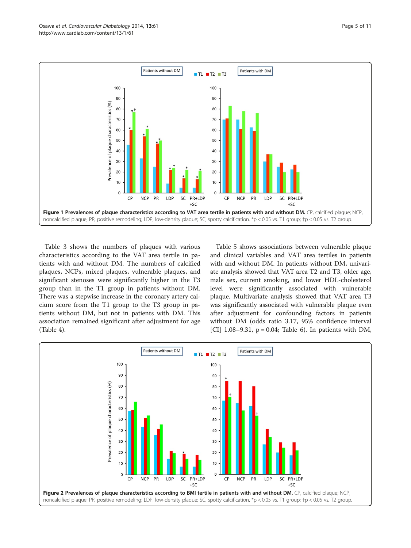<span id="page-4-0"></span>

Table [3](#page-6-0) shows the numbers of plaques with various characteristics according to the VAT area tertile in patients with and without DM. The numbers of calcified plaques, NCPs, mixed plaques, vulnerable plaques, and significant stenoses were significantly higher in the T3 group than in the T1 group in patients without DM. There was a stepwise increase in the coronary artery calcium score from the T1 group to the T3 group in patients without DM, but not in patients with DM. This association remained significant after adjustment for age (Table [4\)](#page-6-0).

Table [5](#page-7-0) shows associations between vulnerable plaque and clinical variables and VAT area tertiles in patients with and without DM. In patients without DM, univariate analysis showed that VAT area T2 and T3, older age, male sex, current smoking, and lower HDL-cholesterol level were significantly associated with vulnerable plaque. Multivariate analysis showed that VAT area T3 was significantly associated with vulnerable plaque even after adjustment for confounding factors in patients without DM (odds ratio 3.17, 95% confidence interval [CI]  $1.08 - 9.31$ ,  $p = 0.04$ ; Table [6\)](#page-7-0). In patients with DM,

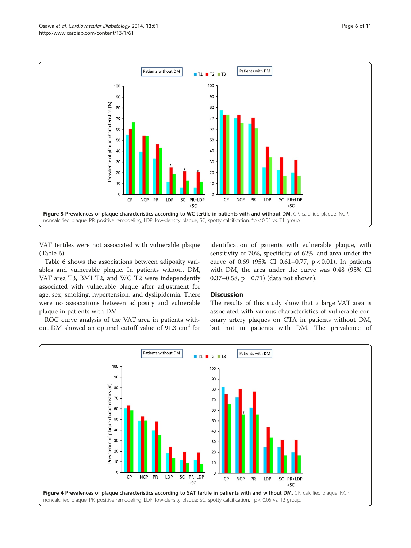<span id="page-5-0"></span>

VAT tertiles were not associated with vulnerable plaque (Table [6\)](#page-7-0).

Table [6](#page-7-0) shows the associations between adiposity variables and vulnerable plaque. In patients without DM, VAT area T3, BMI T2, and WC T2 were independently associated with vulnerable plaque after adjustment for age, sex, smoking, hypertension, and dyslipidemia. There were no associations between adiposity and vulnerable plaque in patients with DM.

ROC curve analysis of the VAT area in patients without DM showed an optimal cutoff value of  $91.3 \text{ cm}^2$  for identification of patients with vulnerable plaque, with sensitivity of 70%, specificity of 62%, and area under the curve of 0.69 (95% CI 0.61–0.77, p < 0.01). In patients with DM, the area under the curve was 0.48 (95% CI 0.37–0.58,  $p = 0.71$ ) (data not shown).

## Discussion

The results of this study show that a large VAT area is associated with various characteristics of vulnerable coronary artery plaques on CTA in patients without DM, but not in patients with DM. The prevalence of

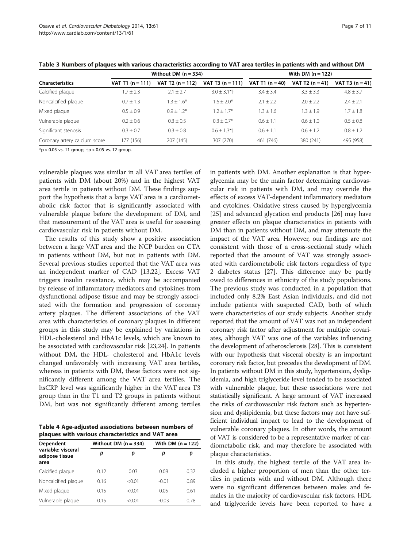|                               |                    | Without DM $(n = 334)$ |                              |                   | With DM $(n = 122)$ |                   |  |
|-------------------------------|--------------------|------------------------|------------------------------|-------------------|---------------------|-------------------|--|
| <b>Characteristics</b>        | VAT T1 $(n = 111)$ | VAT T2 $(n = 112)$     | VAT T3 $(n = 111)$           | VAT T1 $(n = 40)$ | VAT T2 $(n = 41)$   | VAT T3 $(n = 41)$ |  |
| Calcified plaque              | $1.7 \pm 2.3$      | $2.1 \pm 2.7$          | $3.0 + 3.1*$                 | $3.4 \pm 3.4$     | $3.3 + 3.3$         | $4.8 \pm 3.7$     |  |
| Noncalcified plaque           | $0.7 + 1.3$        | $1.3 + 1.6*$           | $1.6 + 2.0*$                 | $2.1 + 2.2$       | $2.0 + 2.2$         | $2.4 \pm 2.1$     |  |
| Mixed plaque                  | $0.5 + 0.9$        | $0.9 + 1.2*$           | $1.2 + 1.7*$                 | $1.3 + 1.6$       | $1.3 + 1.9$         | $1.7 \pm 1.8$     |  |
| Vulnerable plaque             | $0.2 + 0.6$        | $0.3 + 0.5$            | $0.3 + 0.7*$                 | $0.6 \pm 1.1$     | $0.6 + 1.0$         | $0.5 \pm 0.8$     |  |
| Significant stenosis          | $0.3 + 0.7$        | $0.3 + 0.8$            | $0.6 \pm 1.3$ <sup>*</sup> t | $0.6 + 1.1$       | $0.6 + 1.2$         | $0.8 \pm 1.2$     |  |
| Coronary artery calcium score | 177 (156)          | 207 (145)              | 307 (270)                    | 461 (746)         | 380 (241)           | 495 (958)         |  |

<span id="page-6-0"></span>Table 3 Numbers of plaques with various characteristics according to VAT area tertiles in patients with and without DM

 $*$ p < 0.05 vs. T1 group;  $tp$  < 0.05 vs. T2 group.

vulnerable plaques was similar in all VAT area tertiles of patients with DM (about 20%) and in the highest VAT area tertile in patients without DM. These findings support the hypothesis that a large VAT area is a cardiometabolic risk factor that is significantly associated with vulnerable plaque before the development of DM, and that measurement of the VAT area is useful for assessing cardiovascular risk in patients without DM.

The results of this study show a positive association between a large VAT area and the NCP burden on CTA in patients without DM, but not in patients with DM. Several previous studies reported that the VAT area was an independent marker of CAD [\[13,22\]](#page-9-0). Excess VAT triggers insulin resistance, which may be accompanied by release of inflammatory mediators and cytokines from dysfunctional adipose tissue and may be strongly associated with the formation and progression of coronary artery plaques. The different associations of the VAT area with characteristics of coronary plaques in different groups in this study may be explained by variations in HDL-cholesterol and HbA1c levels, which are known to be associated with cardiovascular risk [[23](#page-9-0),[24](#page-9-0)]. In patients without DM, the HDL- cholesterol and HbA1c levels changed unfavorably with increasing VAT area tertiles, whereas in patients with DM, these factors were not significantly different among the VAT area tertiles. The hsCRP level was significantly higher in the VAT area T3 group than in the T1 and T2 groups in patients without DM, but was not significantly different among tertiles

Table 4 Age-adjusted associations between numbers of plaques with various characteristics and VAT area

| Dependent                                    |      | Without DM $(n = 334)$ | With DM $(n = 122)$ |      |  |
|----------------------------------------------|------|------------------------|---------------------|------|--|
| variable: visceral<br>adipose tissue<br>area | ρ    | р                      |                     | р    |  |
| Calcified plaque                             | 0.12 | 0.03                   | 0.08                | 0.37 |  |
| Noncalcified plaque                          | 0.16 | < 0.01                 | $-0.01$             | 0.89 |  |
| Mixed plaque                                 | 0.15 | < 0.01                 | 0.05                | 0.61 |  |
| Vulnerable plaque                            | 0.15 | < 0.01                 | $-0.03$             | 0.78 |  |

in patients with DM. Another explanation is that hyperglycemia may be the main factor determining cardiovascular risk in patients with DM, and may override the effects of excess VAT-dependent inflammatory mediators and cytokines. Oxidative stress caused by hyperglycemia [[25\]](#page-9-0) and advanced glycation end products [[26\]](#page-9-0) may have greater effects on plaque characteristics in patients with DM than in patients without DM, and may attenuate the impact of the VAT area. However, our findings are not consistent with those of a cross-sectional study which reported that the amount of VAT was strongly associated with cardiometabolic risk factors regardless of type 2 diabetes status [[27](#page-9-0)]. This difference may be partly owed to differences in ethnicity of the study populations. The previous study was conducted in a population that included only 8.2% East Asian individuals, and did not include patients with suspected CAD, both of which were characteristics of our study subjects. Another study reported that the amount of VAT was not an independent coronary risk factor after adjustment for multiple covariates, although VAT was one of the variables influencing the development of atherosclerosis [[28](#page-9-0)]. This is consistent with our hypothesis that visceral obesity is an important coronary risk factor, but precedes the development of DM. In patients without DM in this study, hypertension, dyslipidemia, and high triglyceride level tended to be associated with vulnerable plaque, but these associations were not statistically significant. A large amount of VAT increased the risks of cardiovascular risk factors such as hypertension and dyslipidemia, but these factors may not have sufficient individual impact to lead to the development of vulnerable coronary plaques. In other words, the amount of VAT is considered to be a representative marker of cardiometabolic risk, and may therefore be associated with plaque characteristics.

In this study, the highest tertile of the VAT area included a higher proportion of men than the other tertiles in patients with and without DM. Although there were no significant differences between males and females in the majority of cardiovascular risk factors, HDL and triglyceride levels have been reported to have a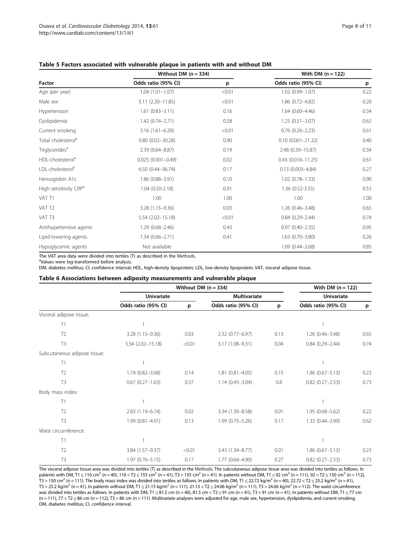| <b>Factor</b>                     | Without DM $(n = 334)$ |        | With DM $(n = 122)$      |      |  |
|-----------------------------------|------------------------|--------|--------------------------|------|--|
|                                   | Odds ratio (95% CI)    | p      | Odds ratio (95% CI)      | p    |  |
| Age (per year)                    | $1.04(1.01 - 1.07)$    | < 0.01 | 1.02 (0.99-1.07)         | 0.22 |  |
| Male sex                          | $5.11(2.20 - 11.85)$   | < 0.01 | 1.86 (0.72-4.82)         | 0.20 |  |
| Hypertension                      | $1.61(0.83 - 3.11)$    | 0.16   | $1.64(0.60 - 4.46)$      | 0.34 |  |
| Dyslipidemia                      | $1.42(0.74 - 2.71)$    | 0.28   | $1.25(0.51 - 3.07)$      | 0.62 |  |
| Current smoking                   | $3.16(1.61 - 6.20)$    | < 0.01 | $0.76(0.26 - 2.23)$      | 0.61 |  |
| Total cholesterol <sup>a</sup>    | $0.80(0.02 - 30.28)$   | 0.90   | $0.10(0.001 - 21.32)$    | 0.40 |  |
| Triglycerides <sup>a</sup>        | $2.39(0.64 - 8.87)$    | 0.19   | 2.48 (0.39-15.87)        | 0.34 |  |
| HDL-cholesterol <sup>a</sup>      | $0.025(0.001 - 0.49)$  | 0.02   | $0.43$ $(0.016 - 11.25)$ | 0.61 |  |
| LDL-cholesterol <sup>a</sup>      | 6.50 (0.44-96.74)      | 0.17   | $0.13(0.003 - 4.84)$     | 0.27 |  |
| Hemoglobin A1c                    | 1.86 (0.88-3.91)       | 0.10   | $1.02(0.78 - 1.33)$      | 0.90 |  |
| High sensitivity CRP <sup>a</sup> | $1.04(0.50-2.18)$      | 0.91   | $1.36(0.52-3.55)$        | 0.53 |  |
| VAT T1                            | 1.00                   | 1.00   | 1.00                     | 1.00 |  |
| VAT T <sub>2</sub>                | 3.28 (1.15-9.36)       | 0.03   | $1.26(0.46 - 3.48)$      | 0.65 |  |
| VAT T3                            | $5.54(2.02 - 15.18)$   | < 0.01 | $0.84(0.29 - 2.44)$      | 0.74 |  |
| Antihypertensive agents           | $1.29(0.68 - 2.46)$    | 0.43   | $0.97(0.40 - 2.35)$      | 0.95 |  |
| Lipid-lowering agents             | $1.34(0.66 - 2.71)$    | 0.41   | $1.63(0.70 - 3.80)$      | 0.26 |  |
| Hypoglycemic agents               | Not available          |        | $1.09(0.44 - 2.68)$      | 0.85 |  |

#### <span id="page-7-0"></span>Table 5 Factors associated with vulnerable plaque in patients with and without DM

The VAT area data were divided into tertiles (T) as described in the [Methods](#page-1-0).

<sup>a</sup>Values were log-transformed before analysis.

DM, diabetes mellitus; CI, confidence interval; HDL, high-density lipoprotein; LDL, low-density lipoprotein; VAT, visceral adipose tissue.

#### Table 6 Associations between adiposity measurements and vulnerable plaque

|                              | Without DM $(n = 334)$ |        |                     |      | With DM $(n = 122)$ |      |
|------------------------------|------------------------|--------|---------------------|------|---------------------|------|
|                              | <b>Univariate</b>      |        | <b>Multivariate</b> |      | <b>Univariate</b>   |      |
|                              | Odds ratio (95% CI)    | p      | Odds ratio (95% CI) | p    | Odds ratio (95% CI) | p    |
| Visceral adipose tissue:     |                        |        |                     |      |                     |      |
| T1                           |                        |        |                     |      |                     |      |
| T <sub>2</sub>               | 3.28 (1.15-9.36)       | 0.03   | 2.32 (0.77-6.97)    | 0.13 | $1.26(0.46 - 3.48)$ | 0.65 |
| T3                           | $5.54(2.02 - 15.18)$   | < 0.01 | 3.17 (1.08-9.31)    | 0.04 | $0.84(0.29 - 2.44)$ | 0.74 |
| Subcutaneous adipose tissue: |                        |        |                     |      |                     |      |
| T1                           |                        |        |                     |      |                     |      |
| T <sub>2</sub>               | $1.74(0.82 - 3.68)$    | 0.14   | $1.81(0.81 - 4.05)$ | 0.15 | $1.86(0.67 - 5.13)$ | 0.23 |
| T <sub>3</sub>               | $0.67(0.27 - 1.63)$    | 0.37   | $1.14(0.43 - 3.04)$ | 0.8  | $0.82$ (0.27-2.53)  | 0.73 |
| Body mass index:             |                        |        |                     |      |                     |      |
| T1                           |                        |        |                     |      |                     |      |
| T <sub>2</sub>               | 2.83 (1.19-6.74)       | 0.02   | 3.34 (1.30-8.58)    | 0.01 | 1.95 (0.68-5.62)    | 0.22 |
| T <sub>3</sub>               | 1.99 (0.81-4.91)       | 0.13   | $1.99(0.75 - 5.26)$ | 0.17 | 1.33 (0.44-3.99)    | 0.62 |
| Waist circumference:         |                        |        |                     |      |                     |      |
| T1                           |                        |        |                     |      |                     |      |
| T <sub>2</sub>               | 3.84 (1.57-9.37)       | < 0.01 | 3.43 (1.34-8.77)    | 0.01 | $1.86(0.67 - 5.13)$ | 0.23 |
| T <sub>3</sub>               | $1.97(0.76 - 5.15)$    | 0.17   | 1.77 (0.64-4.90)    | 0.27 | $0.82(0.27 - 2.53)$ | 0.73 |

The visceral adipose tissue area was divided into tertiles (T) as described in the [Methods.](#page-1-0) The subcutaneous adipose tissue area was divided into tertiles as follows. In patients with DM, T1 ≤ 110 cm<sup>2</sup> (n = 40), 110 < T2 ≤ 155 cm<sup>2</sup> (n = 41), T3 > 155 cm<sup>2</sup> (n = 41). In patients without DM, T1 ≤ 92 cm<sup>2</sup> (n = 111), 92 < T2 ≤ 150 cm<sup>2</sup> (n = 112), T3 > 150 cm<sup>2</sup> (n = 111). The body mass index was divided into tertiles as follows. In patients with DM, T1 ≤ 22.72 kg/m<sup>2</sup> (n = 40), 22.72 < T2 ≤ 25.2 kg/m<sup>2</sup> (n = 41), T3 > 25.2 kg/m<sup>2</sup> (n = 41). In patients without DM, T1 ≤ 21.15 kg/m<sup>2</sup> (n = 111), 21.15 < T2 ≤ 24.06 kg/m<sup>2</sup> (n = 111), T3 > 24.06 kg/m<sup>2</sup> (n = 112). The waist circumference was divided into tertiles as follows. In patients with DM, T1 ≤ 81.5 cm (n = 40), 81.5 cm < T2 ≤ 91 cm (n = 41), T3 > 91 cm (n = 41). In patients without DM, T1 ≤ 77 cm (n = 111), 77 < T2 ≤ 86 cm (n = 112), T3 > 86 cm (n = 111). Multivariate analyses were adjusted for age, male sex, hypertension, dyslipidemia, and current smoking. DM, diabetes mellitus; CI, confidence interval.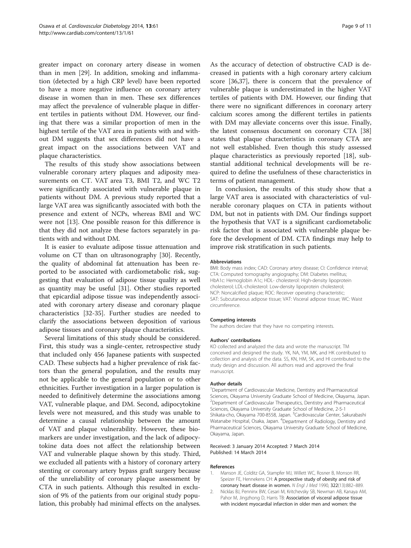<span id="page-8-0"></span>greater impact on coronary artery disease in women than in men [\[29](#page-9-0)]. In addition, smoking and inflammation (detected by a high CRP level) have been reported to have a more negative influence on coronary artery disease in women than in men. These sex differences may affect the prevalence of vulnerable plaque in different tertiles in patients without DM. However, our finding that there was a similar proportion of men in the highest tertile of the VAT area in patients with and without DM suggests that sex differences did not have a great impact on the associations between VAT and plaque characteristics.

The results of this study show associations between vulnerable coronary artery plaques and adiposity measurements on CT. VAT area T3, BMI T2, and WC T2 were significantly associated with vulnerable plaque in patients without DM. A previous study reported that a large VAT area was significantly associated with both the presence and extent of NCPs, whereas BMI and WC were not [\[13\]](#page-9-0). One possible reason for this difference is that they did not analyze these factors separately in patients with and without DM.

It is easier to evaluate adipose tissue attenuation and volume on CT than on ultrasonography [\[30\]](#page-9-0). Recently, the quality of abdominal fat attenuation has been reported to be associated with cardiometabolic risk, suggesting that evaluation of adipose tissue quality as well as quantity may be useful [[31\]](#page-9-0). Other studies reported that epicardial adipose tissue was independently associated with coronary artery disease and coronary plaque characteristics [[32-35](#page-9-0)]. Further studies are needed to clarify the associations between deposition of various adipose tissues and coronary plaque characteristics.

Several limitations of this study should be considered. First, this study was a single-center, retrospective study that included only 456 Japanese patients with suspected CAD. These subjects had a higher prevalence of risk factors than the general population, and the results may not be applicable to the general population or to other ethnicities. Further investigation in a larger population is needed to definitively determine the associations among VAT, vulnerable plaque, and DM. Second, adipocytokine levels were not measured, and this study was unable to determine a causal relationship between the amount of VAT and plaque vulnerability. However, these biomarkers are under investigation, and the lack of adipocytokine data does not affect the relationship between VAT and vulnerable plaque shown by this study. Third, we excluded all patients with a history of coronary artery stenting or coronary artery bypass graft surgery because of the unreliability of coronary plaque assessment by CTA in such patients. Although this resulted in exclusion of 9% of the patients from our original study population, this probably had minimal effects on the analyses. As the accuracy of detection of obstructive CAD is decreased in patients with a high coronary artery calcium score [\[36](#page-9-0)[,37](#page-10-0)], there is concern that the prevalence of vulnerable plaque is underestimated in the higher VAT tertiles of patients with DM. However, our finding that there were no significant differences in coronary artery calcium scores among the different tertiles in patients with DM may alleviate concerns over this issue. Finally, the latest consensus document on coronary CTA [[38](#page-10-0)] states that plaque characteristics in coronary CTA are not well established. Even though this study assessed plaque characteristics as previously reported [\[18\]](#page-9-0), substantial additional technical developments will be required to define the usefulness of these characteristics in terms of patient management.

In conclusion, the results of this study show that a large VAT area is associated with characteristics of vulnerable coronary plaques on CTA in patients without DM, but not in patients with DM. Our findings support the hypothesis that VAT is a significant cardiometabolic risk factor that is associated with vulnerable plaque before the development of DM. CTA findings may help to improve risk stratification in such patients.

#### Abbreviations

BMI: Body mass index; CAD: Coronary artery disease; CI: Confidence interval; CTA: Computed tomography angiography; DM: Diabetes mellitus; HbA1c: Hemoglobin A1c; HDL- cholesterol: High-density lipoprotein cholesterol; LDL-cholesterol: Low-density lipoprotein cholesterol; NCP: Noncalcified plaque; ROC: Receiver operating characteristic; SAT: Subcutaneous adipose tissue; VAT: Visceral adipose tissue; WC: Waist circumference.

#### Competing interests

The authors declare that they have no competing interests.

#### Authors' contributions

KO collected and analyzed the data and wrote the manuscript. TM conceived and designed the study. YK, NA, YM, MK, and HK contributed to collection and analysis of the data. SS, KN, HM, SK, and HI contributed to the study design and discussion. All authors read and approved the final manuscript.

#### Author details

<sup>1</sup>Department of Cardiovascular Medicine, Dentistry and Pharmaceutical Sciences, Okayama University Graduate School of Medicine, Okayama, Japan. <sup>2</sup> Department of Cardiovascular Therapeutics, Dentistry and Pharmaceutical Sciences, Okayama University Graduate School of Medicine, 2-5-1 Shikata-cho, Okayama 700-8558, Japan. <sup>3</sup>Cardiovascular Center, Sakurabashi Watanabe Hospital, Osaka, Japan. <sup>4</sup>Department of Radiology, Dentistry and Pharmaceutical Sciences, Okayama University Graduate School of Medicine, Okayama, Japan.

#### Received: 3 January 2014 Accepted: 7 March 2014 Published: 14 March 2014

#### References

- 1. Manson JE, Colditz GA, Stampfer MJ, Willett WC, Rosner B, Monson RR, Speizer FE, Hennekens CH: A prospective study of obesity and risk of coronary heart disease in women. N Engl J Med 1990, 322(13):882–889.
- 2. Nicklas BJ, Penninx BW, Cesari M, Kritchevsky SB, Newman AB, Kanaya AM, Pahor M, Jingzhong D, Harris TB: Association of visceral adipose tissue with incident myocardial infarction in older men and women: the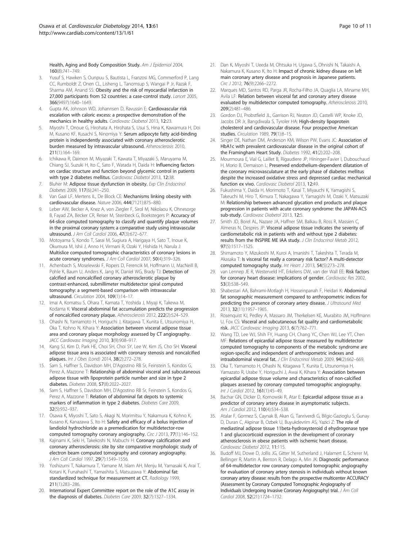<span id="page-9-0"></span>Health, Aging and Body Composition Study. Am J Epidemiol 2004, 160(8):741–749.

- 3. Yusuf S, Hawken S, Ounpuu S, Bautista L, Franzosi MG, Commerford P, Lang CC, Rumboldt Z, Onen CL, Lisheng L, Tanomsup S, Wangai P Jr, Razak F, Sharma AM, Anand SS: Obesity and the risk of myocardial infarction in 27,000 participants from 52 countries: a case-control study. Lancet 2005, 366(9497):1640–1649.
- Gupta AK, Johnson WD, Johannsen D, Ravussin E: Cardiovascular risk escalation with caloric excess: a prospective demonstration of the mechanics in healthy adults. Cardiovasc Diabetol 2013, 12:23.
- 5. Miyoshi T, Onoue G, Hirohata A, Hirohata S, Usui S, Hina K, Kawamura H, Doi M, Kusano KF, Kusachi S, Ninomiya Y: Serum adipocyte fatty acid-binding protein is independently associated with coronary atherosclerotic burden measured by intravascular ultrasound. Atherosclerosis 2010, 211(1):164–169.
- 6. Ichikawa R, Daimon M, Miyazaki T, Kawata T, Miyazaki S, Maruyama M, Chiang SJ, Suzuki H, Ito C, Sato F, Watada H, Daida H: Influencing factors on cardiac structure and function beyond glycemic control in patients with type 2 diabetes mellitus. Cardiovasc Diabetol 2013, 12:38.
- 7. Bluher M: Adipose tissue dysfunction in obesity. Exp Clin Endocrinol Diabetes 2009, 117(6):241–250.
- 8. Van Gaal LF, Mertens IL, De Block CE: Mechanisms linking obesity with cardiovascular disease. Nature 2006, 444(7121):875–880.
- 9. Leber AW, Becker A, Knez A, von Ziegler F, Sirol M, Nikolaou K, Ohnesorge B, Fayad ZA, Becker CR, Reiser M, Steinbeck G, Boekstegers P: Accuracy of 64-slice computed tomography to classify and quantify plaque volumes in the proximal coronary system: a comparative study using intravascular ultrasound. J Am Coll Cardiol 2006, 47(3):672–677.
- 10. Motoyama S, Kondo T, Sarai M, Sugiura A, Harigaya H, Sato T, Inoue K, Okumura M, Ishii J, Anno H, Virmani R, Ozaki Y, Hishida H, Narula J: Multislice computed tomographic characteristics of coronary lesions in acute coronary syndromes. J Am Coll Cardiol 2007, 50(4):319–326.
- 11. Achenbach S, Moselewski F, Ropers D, Ferencik M, Hoffmann U, MacNeill B, Pohle K, Baum U, Anders K, Jang IK, Daniel WG, Brady TJ: Detection of calcified and noncalcified coronary atherosclerotic plaque by contrast-enhanced, submillimeter multidetector spiral computed tomography: a segment-based comparison with intravascular ultrasound. Circulation 2004, 109(1):14–17.
- 12. Imai A, Komatsu S, Ohara T, Kamata T, Yoshida J, Miyaji K, Takewa M, Kodama K: Visceral abdominal fat accumulation predicts the progression of noncalcified coronary plaque. Atherosclerosis 2012, 222(2):524–529.
- 13. Ohashi N, Yamamoto H, Horiguchi J, Kitagawa T, Kunita E, Utsunomiya H, Oka T, Kohno N, Kihara Y: Association between visceral adipose tissue area and coronary plaque morphology assessed by CT angiography. JACC Cardiovasc Imaging 2010, 3(9):908–917.
- 14. Kang SJ, Kim D, Park HE, Choi SH, Choi SY, Lee W, Kim JS, Cho SH: Visceral adipose tissue area is associated with coronary stenosis and noncalcified plaques. Int J Obes (Lond) 2014, 38(2):272–278.
- 15. Sam S, Haffner S, Davidson MH, D'Agostino RB Sr, Feinstein S, Kondos G, Perez A, Mazzone T: Relationship of abdominal visceral and subcutaneous adipose tissue with lipoprotein particle number and size in type 2 diabetes. Diabetes 2008, 57(8):2022–2027.
- 16. Sam S, Haffner S, Davidson MH, D'Agostino RB Sr, Feinstein S, Kondos G, Perez A, Mazzone T: Relation of abdominal fat depots to systemic markers of inflammation in type 2 diabetes. Diabetes Care 2009, 32(5):932–937.
- 17. Osawa K, Miyoshi T, Sato S, Akagi N, Morimitsu Y, Nakamura K, Kohno K, Kusano K, Kanazawa S, Ito H: Safety and efficacy of a bolus injection of landiolol hydrochloride as a premedication for multidetector-row computed tomography coronary angiography. Circ J 2013, 77(1):146-152.
- 18. Kajinami K, Seki H, Takekoshi N, Mabuchi H: Coronary calcification and coronary atherosclerosis: site by site comparative morphologic study of electron beam computed tomography and coronary angiography. J Am Coll Cardiol 1997, 29(7):1549–1556.
- 19. Yoshizumi T, Nakamura T, Yamane M, Islam AH, Menju M, Yamasaki K, Arai T, Kotani K, Funahashi T, Yamashita S, Matsuzawa Y: Abdominal fat: standardized technique for measurement at CT. Radiology 1999, 211(1):283–286.
- 20. International Expert Committee report on the role of the A1C assay in the diagnosis of diabetes. Diabetes Care 2009, 32(7):1327–1334.
- 21. Dan K, Miyoshi T, Ueeda M, Ohtsuka H, Ugawa S, Ohnishi N, Takaishi A, Nakamura K, Kusano K, Ito H: Impact of chronic kidney disease on left main coronary artery disease and prognosis in Japanese patients. Circ J 2012, 76(9):2266–2272.
- 22. Marques MD, Santos RD, Parga JR, Rocha-Filho JA, Quaglia LA, Miname MH, Avila LF: Relation between visceral fat and coronary artery disease evaluated by multidetector computed tomography. Atherosclerosis 2010, 209(2):481–486.
- 23. Gordon DJ, Probstfield JL, Garrison RJ, Neaton JD, Castelli WP, Knoke JD, Jacobs DR Jr, Bangdiwala S, Tyroler HA: High-density lipoprotein cholesterol and cardiovascular disease. Four prospective American studies. Circulation 1989, 79(1):8-15.
- 24. Singer DE, Nathan DM, Anderson KM, Wilson PW, Evans JC: Association of HbA1c with prevalent cardiovascular disease in the original cohort of the Framingham Heart Study. Diabetes 1992, 41(2):202–208.
- 25. Mourmoura E, Vial G, Laillet B, Rigaudiere JP, Hininger-Favier I, Dubouchaud H, Morio B, Demaison L: Preserved endothelium-dependent dilatation of the coronary microvasculature at the early phase of diabetes mellitus despite the increased oxidative stress and depressed cardiac mechanical function ex vivo. Cardiovasc Diabetol 2013, 12:49.
- 26. Fukushima Y, Daida H, Morimoto T, Kasai T, Miyauchi K, Yamagishi S, Takeuchi M, Hiro T, Kimura T, Nakagawa Y, Yamagishi M, Ozaki Y, Matsuzaki M: Relationship between advanced glycation end products and plaque progression in patients with acute coronary syndrome: the JAPAN-ACS sub-study. Cardiovasc Diabetol 2013, 12:5.
- 27. Smith JD, Borel AL, Nazare JA, Haffner SM, Balkau B, Ross R, Massien C, Almeras N, Despres JP: Visceral adipose tissue indicates the severity of cardiometabolic risk in patients with and without type 2 diabetes: results from the INSPIRE ME IAA study. J Clin Endocrinol Metab 2012, 97(5):1517–1525.
- 28. Shimamoto Y, Mizukoshi M, Kuroi A, Imanishi T, Takeshita T, Terada M, Akasaka T: Is visceral fat really a coronary risk factor? A multi-detector computed tomography study. Int Heart J 2013, 54(5):273–278.
- 29. van Lennep JE R, Westerveld HT, Erkelens DW, van der Wall EE: Risk factors for coronary heart disease: implications of gender. Cardiovasc Res 2002, 53(3):538–549.
- 30. Shabestari AA, Bahrami-Motlagh H, Hosseinpanah F, Heidari K: Abdominal fat sonographic measurement compared to anthropometric indices for predicting the presence of coronary artery disease. J Ultrasound Med 2013, 32(11):1957–1965.
- 31. Rosenquist KJ, Pedley A, Massaro JM, Therkelsen KE, Murabito JM, Hoffmann U, Fox CS: Visceral and subcutaneous fat quality and cardiometabolic risk. JACC Cardiovasc Imaging 2013, 6(7):762–771.
- 32. Wang TD, Lee WJ, Shih FY, Huang CH, Chang YC, Chen WJ, Lee YT, Chen MF: Relations of epicardial adipose tissue measured by multidetector computed tomography to components of the metabolic syndrome are region-specific and independent of anthropometric indexes and intraabdominal visceral fat. J Clin Endocrinol Metab 2009, 94(2):662-669.
- 33. Oka T, Yamamoto H, Ohashi N, Kitagawa T, Kunita E, Utsunomiya H, Yamazato R, Urabe Y, Horiguchi J, Awai K, Kihara Y: Association between epicardial adipose tissue volume and characteristics of non-calcified plaques assessed by coronary computed tomographic angiography. Int J Cardiol 2012, 161(1):45–49.
- 34. Bachar GN, Dicker D, Kornowski R, Atar E: Epicardial adipose tissue as a predictor of coronary artery disease in asymptomatic subjects. Am J Cardiol 2012, 110(4):534–538.
- 35. Atalar F, Gormez S, Caynak B, Akan G, Tanriverdi G, Bilgic-Gazioglu S, Gunay D, Duran C, Akpinar B, Ozbek U, Buyukdevrim AS, Yazici Z: The role of mediastinal adipose tissue 11beta-hydroxysteroid d ehydrogenase type 1 and glucocorticoid expression in the development of coronary atherosclerosis in obese patients with ischemic heart disease. Cardiovasc Diabetol 2012, 11:115.
- 36. Budoff MJ, Dowe D, Jollis JG, Gitter M, Sutherland J, Halamert E, Scherer M, Bellinger R, Martin A, Benton R, Delago A, Min JK: Diagnostic performance of 64-multidetector row coronary computed tomographic angiography for evaluation of coronary artery stenosis in individuals without known coronary artery disease: results from the prospective multicenter ACCURACY (Assessment by Coronary Computed Tomographic Angiography of Individuals Undergoing Invasive Coronary Angiography) trial. J Am Coll Cardiol 2008, 52(21):1724–1732.